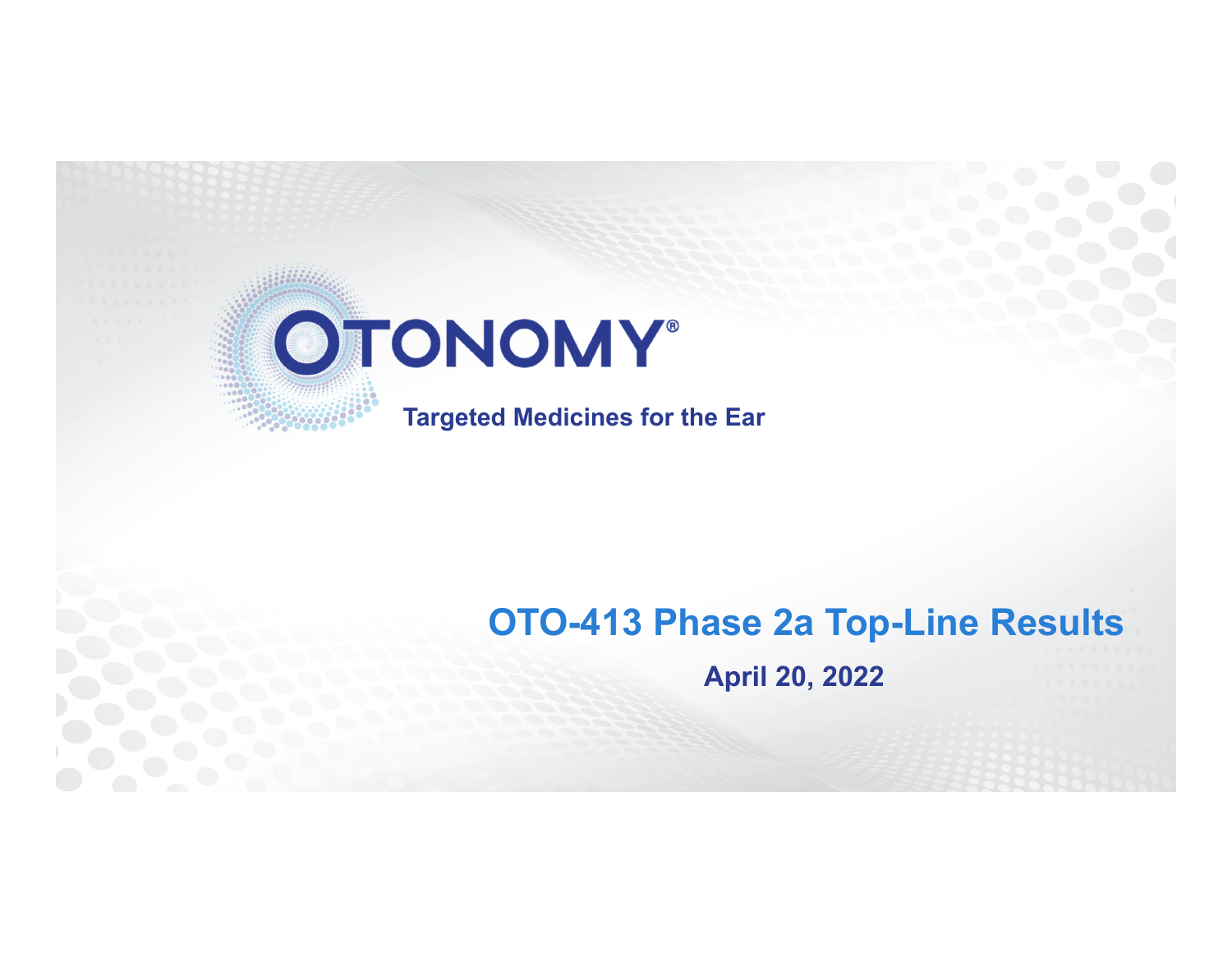

**Targeted Medicines for the Ear**

# **OTO-413 Phase 2a Top-Line Results April 20, 2022**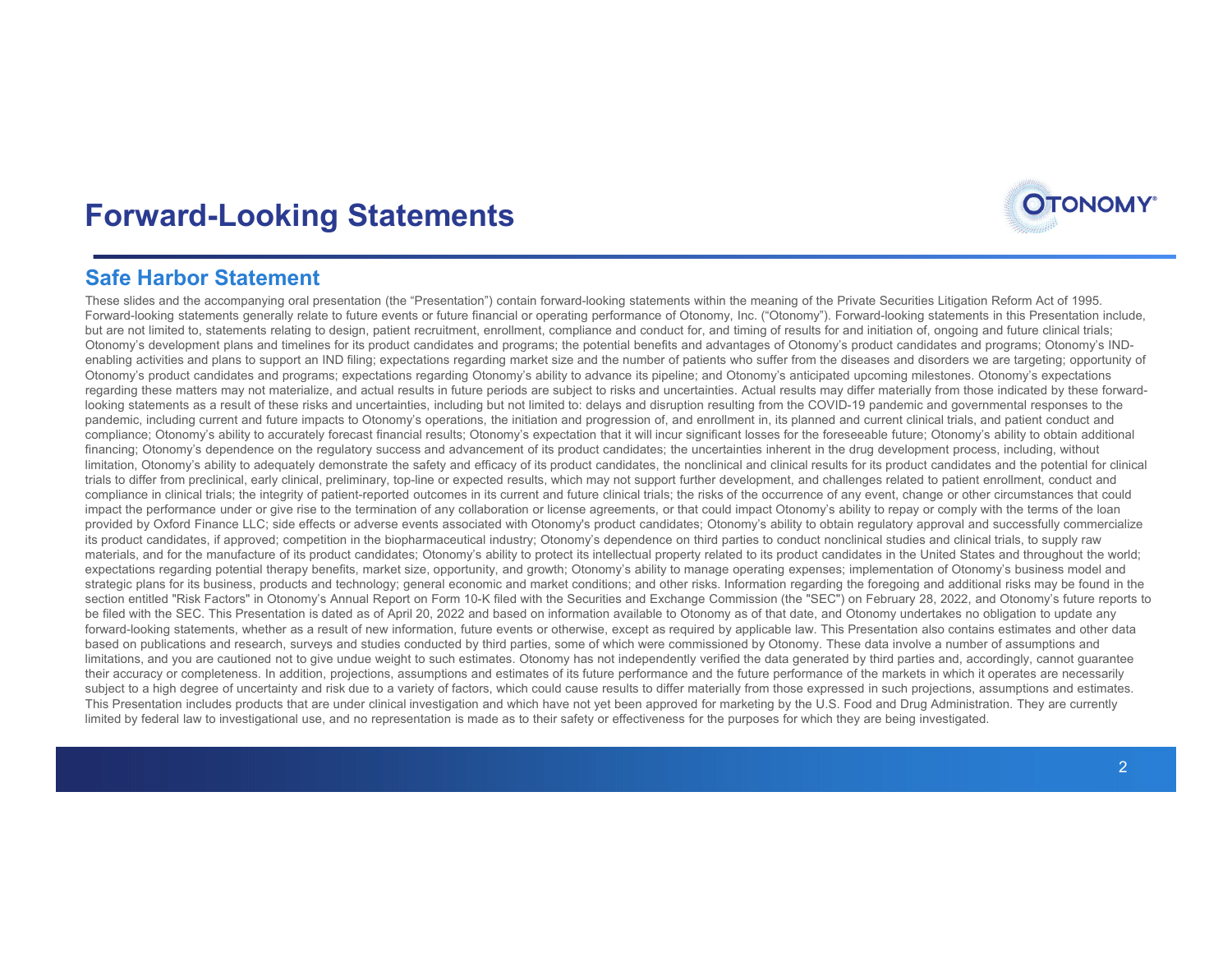

#### **Safe Harbor Statement**

These slides and the accompanying oral presentation (the "Presentation") contain forward-looking statements within the meaning of the Private Securities Litigation Reform Act of 1995. Forward-looking statements generally relate to future events or future financial or operating performance of Otonomy, Inc. ("Otonomy"). Forward-looking statements in this Presentation include, but are not limited to, statements relating to design, patient recruitment, enrollment, compliance and conduct for, and timing of results for and initiation of, ongoing and future clinical trials; Otonomy's development plans and timelines for its product candidates and programs; the potential benefits and advantages of Otonomy's product candidates and programs; Otonomy's INDenabling activities and plans to support an IND filing; expectations regarding market size and the number of patients who suffer from the diseases and disorders we are targeting; opportunity of Otonomy's product candidates and programs; expectations regarding Otonomy's ability to advance its pipeline; and Otonomy's anticipated upcoming milestones. Otonomy's expectations regarding these matters may not materialize, and actual results in future periods are subject to risks and uncertainties. Actual results may differ materially from those indicated by these forwardlooking statements as a result of these risks and uncertainties, including but not limited to: delays and disruption resulting from the COVID-19 pandemic and governmental responses to the pandemic, including current and future impacts to Otonomy's operations, the initiation and progression of, and enrollment in, its planned and current clinical trials, and patient conduct and compliance; Otonomy's ability to accurately forecast financial results; Otonomy's expectation that it will incur significant losses for the foreseeable future; Otonomy's ability to obtain additional financing; Otonomy's dependence on the regulatory success and advancement of its product candidates; the uncertainties inherent in the drug development process, including, without limitation. Otonomy's ability to adequately demonstrate the safety and efficacy of its product candidates, the nonclinical and clinical results for its product candidates and the potential for clinical trials to differ from preclinical, early clinical, preliminary, top-line or expected results, which may not support further development, and challenges related to patient enrollment, conduct and compliance in clinical trials; the integrity of patient-reported outcomes in its current and future clinical trials; the risks of the occurrence of any event, change or other circumstances that could impact the performance under or give rise to the termination of any collaboration or license agreements, or that could impact Otonomy's ability to repay or comply with the terms of the loan provided by Oxford Finance LLC; side effects or adverse events associated with Otonomy's product candidates; Otonomy's ability to obtain regulatory approval and successfully commercialize its product candidates, if approved; competition in the biopharmaceutical industry; Otonomy's dependence on third parties to conduct nonclinical studies and clinical trials, to supply raw materials, and for the manufacture of its product candidates; Otonomy's ability to protect its intellectual property related to its product candidates in the United States and throughout the world; expectations regarding potential therapy benefits, market size, opportunity, and growth; Otonomy's ability to manage operating expenses; implementation of Otonomy's business model and strategic plans for its business, products and technology; general economic and market conditions; and other risks. Information regarding the foregoing and additional risks may be found in the section entitled "Risk Factors" in Otonomy's Annual Report on Form 10-K filed with the Securities and Exchange Commission (the "SEC") on February 28, 2022, and Otonomy's future reports to be filed with the SEC. This Presentation is dated as of April 20, 2022 and based on information available to Otonomy as of that date, and Otonomy undertakes no obligation to update any forward-looking statements, whether as a result of new information, future events or otherwise, except as required by applicable law. This Presentation also contains estimates and other data based on publications and research, surveys and studies conducted by third parties, some of which were commissioned by Otonomy. These data involve a number of assumptions and limitations, and you are cautioned not to give undue weight to such estimates. Otonomy has not independently verified the data generated by third parties and, accordingly, cannot quarantee their accuracy or completeness. In addition, projections, assumptions and estimates of its future performance and the future performance of the markets in which it operates are necessarily subject to a high degree of uncertainty and risk due to a variety of factors, which could cause results to differ materially from those expressed in such projections, assumptions and estimates. This Presentation includes products that are under clinical investigation and which have not yet been approved for marketing by the U.S. Food and Drug Administration. They are currently limited by federal law to investigational use, and no representation is made as to their safety or effectiveness for the purposes for which they are being investigated.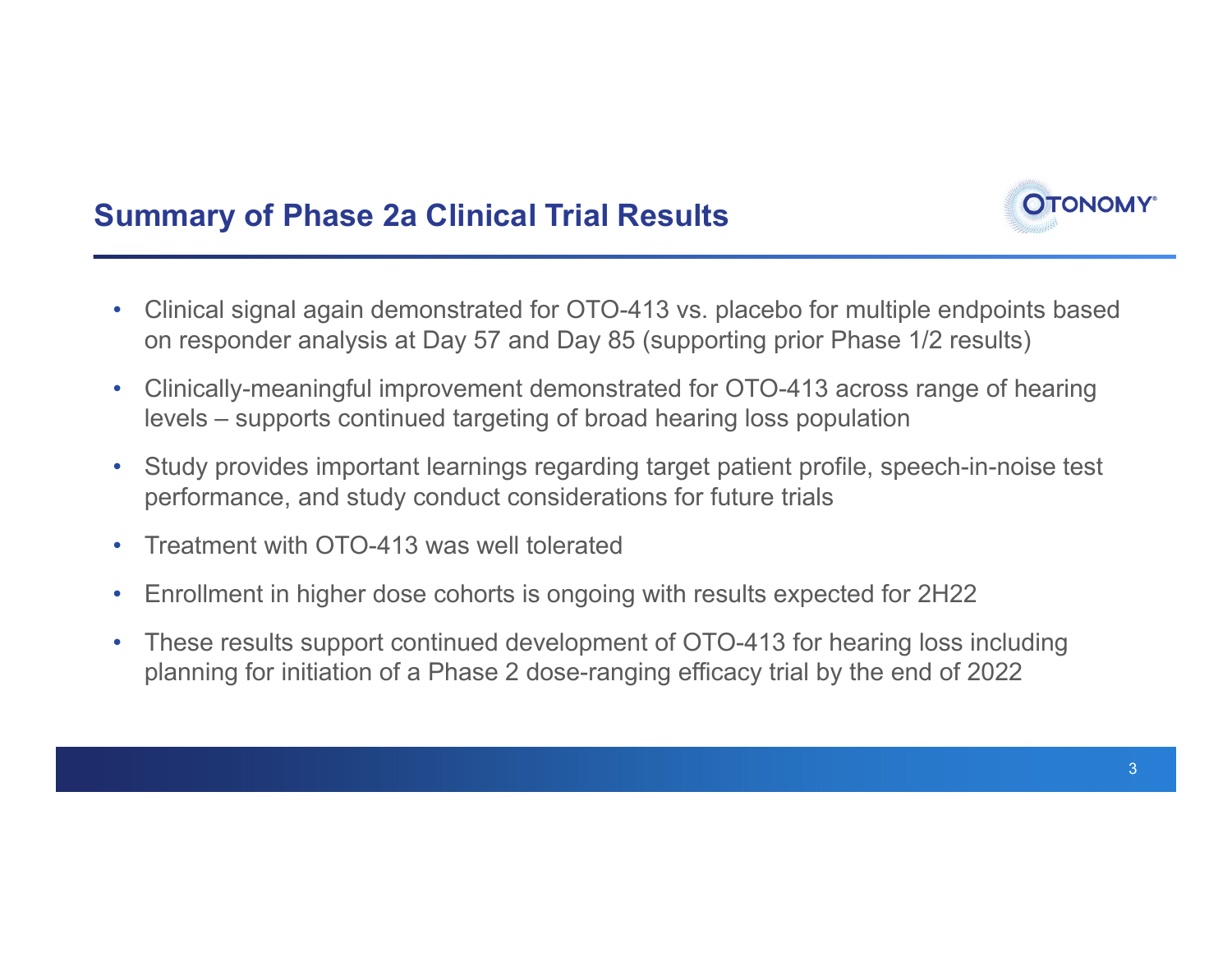

- • Clinical signal again demonstrated for OTO-413 vs. placebo for multiple endpoints based on responder analysis at Day 57 and Day 85 (supporting prior Phase 1/2 results)
- • Clinically-meaningful improvement demonstrated for OTO-413 across range of hearing levels – supports continued targeting of broad hearing loss population
- • Study provides important learnings regarding target patient profile, speech-in-noise test performance, and study conduct considerations for future trials
- •Treatment with OTO-413 was well tolerated
- •Enrollment in higher dose cohorts is ongoing with results expected for 2H22
- • These results support continued development of OTO-413 for hearing loss including planning for initiation of a Phase 2 dose-ranging efficacy trial by the end of 2022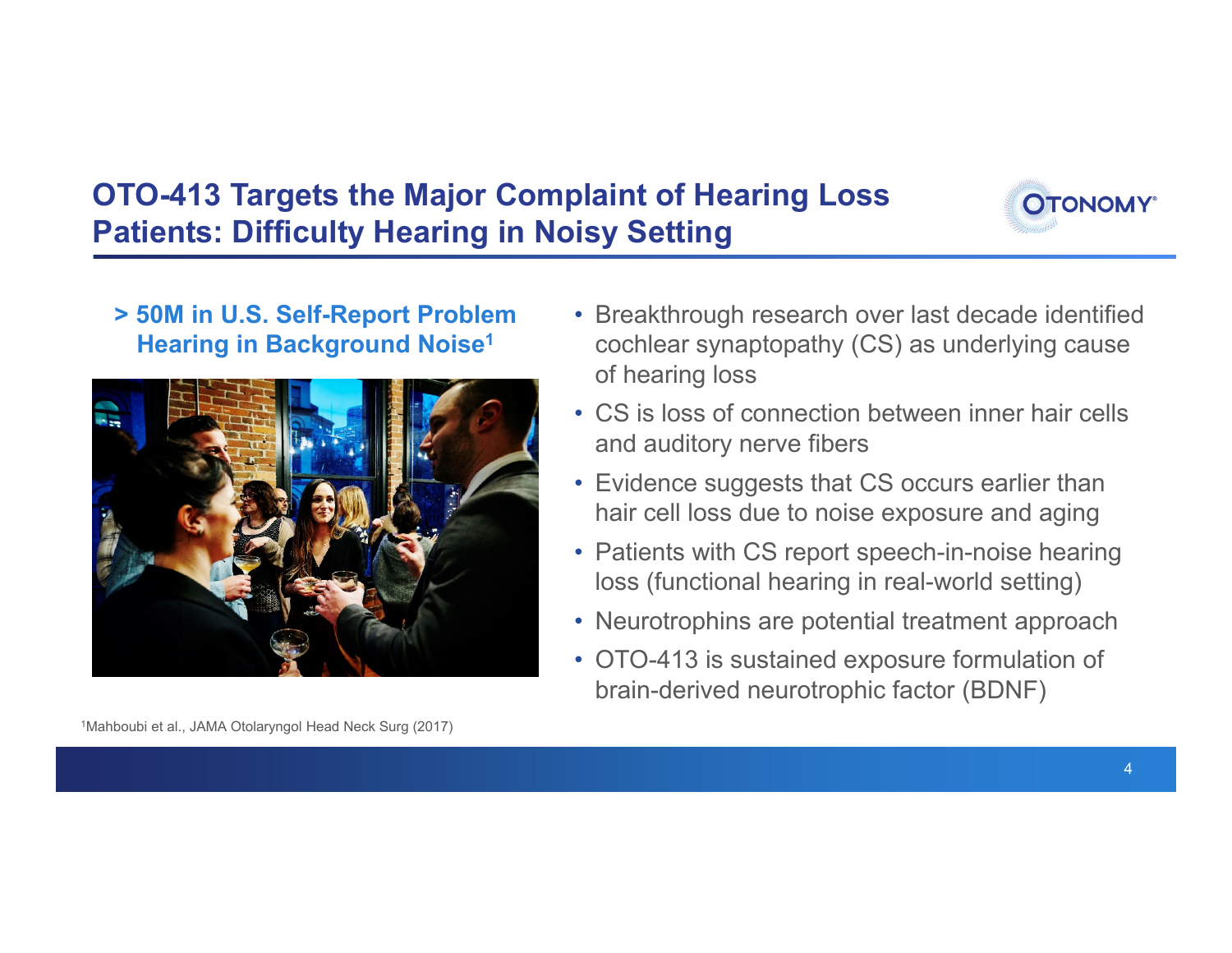## **OTO-413 Targets the Major Complaint of Hearing Loss Patients: Difficulty Hearing in Noisy Setting**



### **> 50M in U.S. Self-Report Problem Hearing in Background Noise1**



- Breakthrough research over last decade identified cochlear synaptopathy (CS) as underlying cause of hearing loss
- CS is loss of connection between inner hair cells and auditory nerve fibers
- Evidence suggests that CS occurs earlier than hair cell loss due to noise exposure and aging
- Patients with CS report speech-in-noise hearing loss (functional hearing in real-world setting)
- Neurotrophins are potential treatment approach
- OTO-413 is sustained exposure formulation of brain-derived neurotrophic factor (BDNF)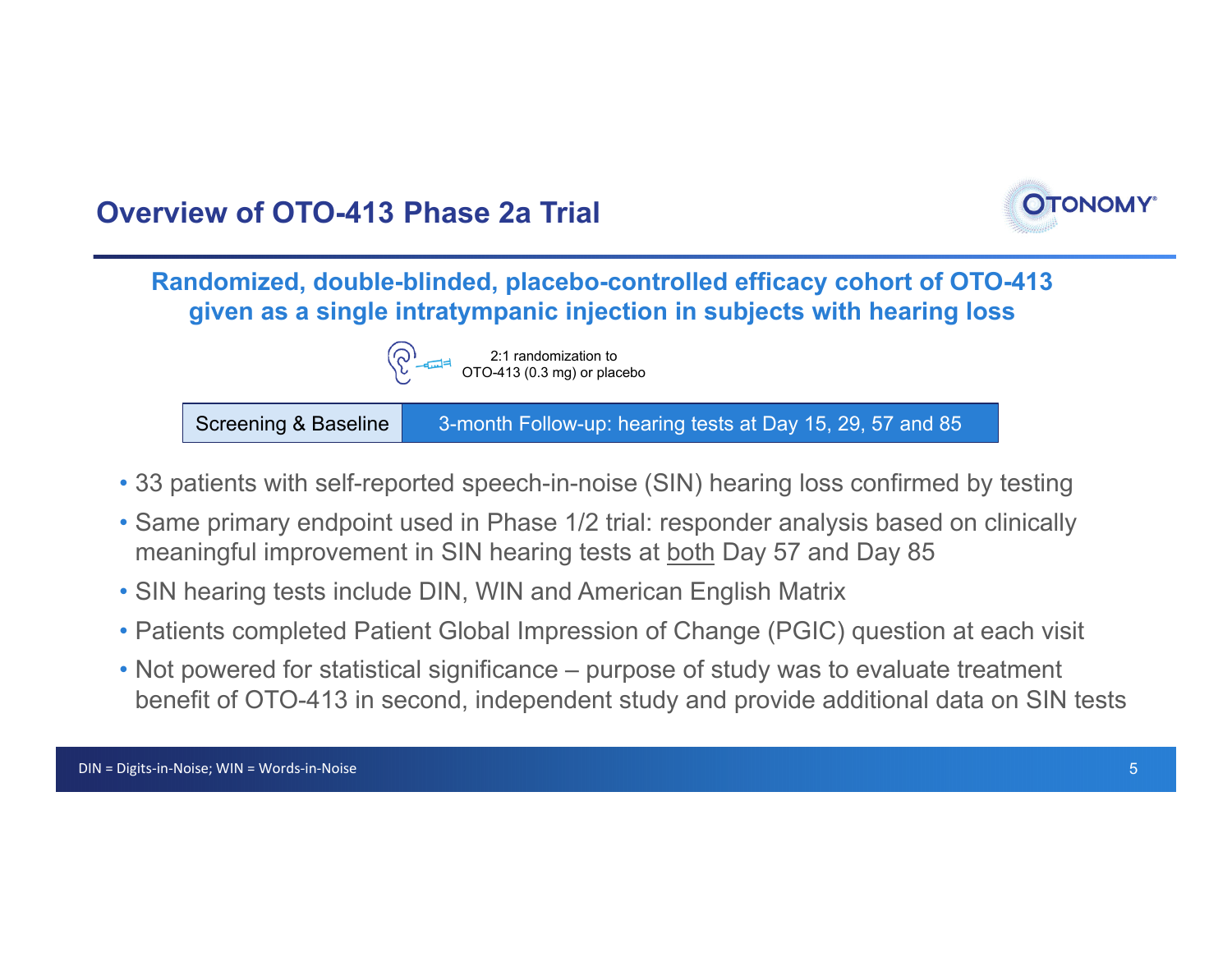

**Randomized, double-blinded, placebo-controlled efficacy cohort of OTO-413 given as a single intratympanic injection in subjects with hearing loss**



Screening & Baseline 3-month Follow-up: hearing tests at Day 15, 29, 57 and 85

- 33 patients with self-reported speech-in-noise (SIN) hearing loss confirmed by testing
- Same primary endpoint used in Phase 1/2 trial: responder analysis based on clinically meaningful improvement in SIN hearing tests at both Day 57 and Day 85
- SIN hearing tests include DIN, WIN and American English Matrix
- Patients completed Patient Global Impression of Change (PGIC) question at each visit
- Not powered for statistical significance purpose of study was to evaluate treatment benefit of OTO-413 in second, independent study and provide additional data on SIN tests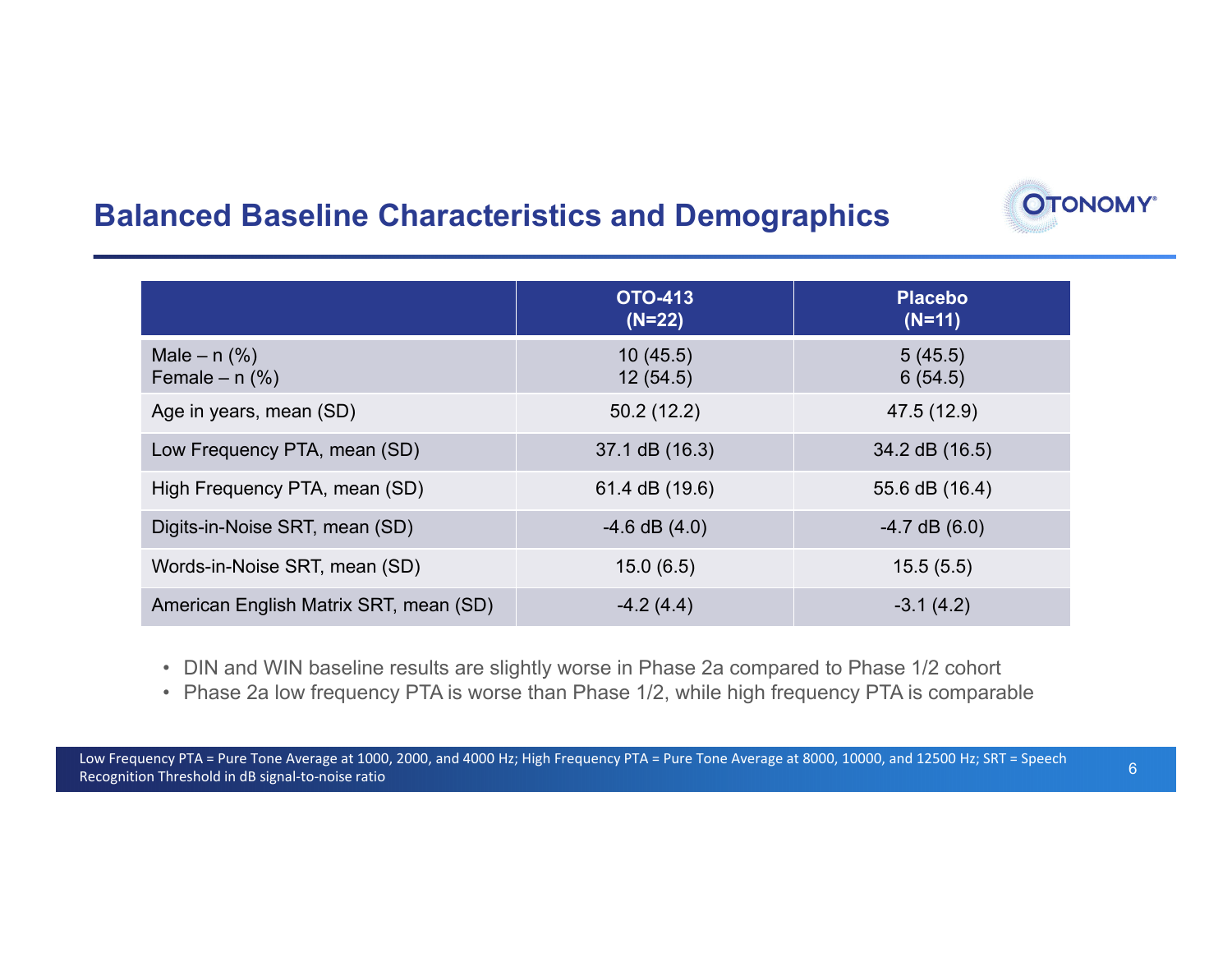### **Balanced Baseline Characteristics and Demographics**

|                                        | <b>OTO-413</b><br>$(N=22)$ | <b>Placebo</b><br>$(N=11)$ |
|----------------------------------------|----------------------------|----------------------------|
| Male $- n$ (%)<br>Female $- n$ (%)     | 10(45.5)<br>12(54.5)       | 5(45.5)<br>6(54.5)         |
| Age in years, mean (SD)                | 50.2(12.2)                 | 47.5 (12.9)                |
| Low Frequency PTA, mean (SD)           | 37.1 dB (16.3)             | 34.2 dB (16.5)             |
| High Frequency PTA, mean (SD)          | 61.4 dB (19.6)             | 55.6 dB (16.4)             |
| Digits-in-Noise SRT, mean (SD)         | $-4.6$ dB $(4.0)$          | $-4.7$ dB $(6.0)$          |
| Words-in-Noise SRT, mean (SD)          | 15.0(6.5)                  | 15.5(5.5)                  |
| American English Matrix SRT, mean (SD) | $-4.2(4.4)$                | $-3.1(4.2)$                |

- DIN and WIN baseline results are slightly worse in Phase 2a compared to Phase 1/2 cohort
- Phase 2a low frequency PTA is worse than Phase 1/2, while high frequency PTA is comparable

**OTONOMY**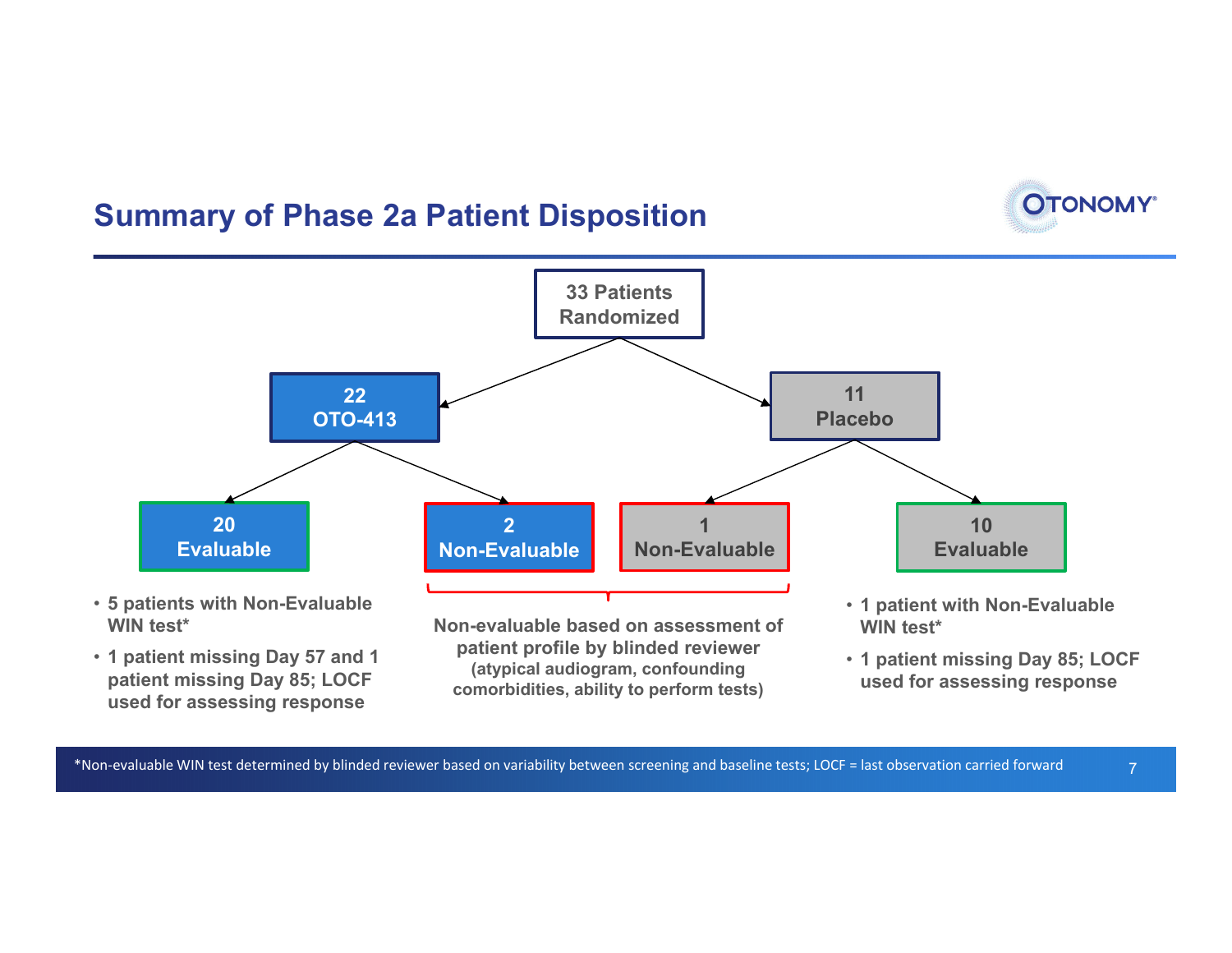### **Summary of Phase 2a Patient Disposition**



- **5 patients with Non-Evaluable WIN test\***
- **1 patient missing Day 57 and 1 patient missing Day 85; LOCF used for assessing response**

**Non-evaluable based on assessment of patient profile by blinded reviewer (atypical audiogram, confounding comorbidities, ability to perform tests)**

- **1 patient with Non-Evaluable WIN test\***
- **1 patient missing Day 85; LOCF used for assessing response**

7

**OTONOMY®**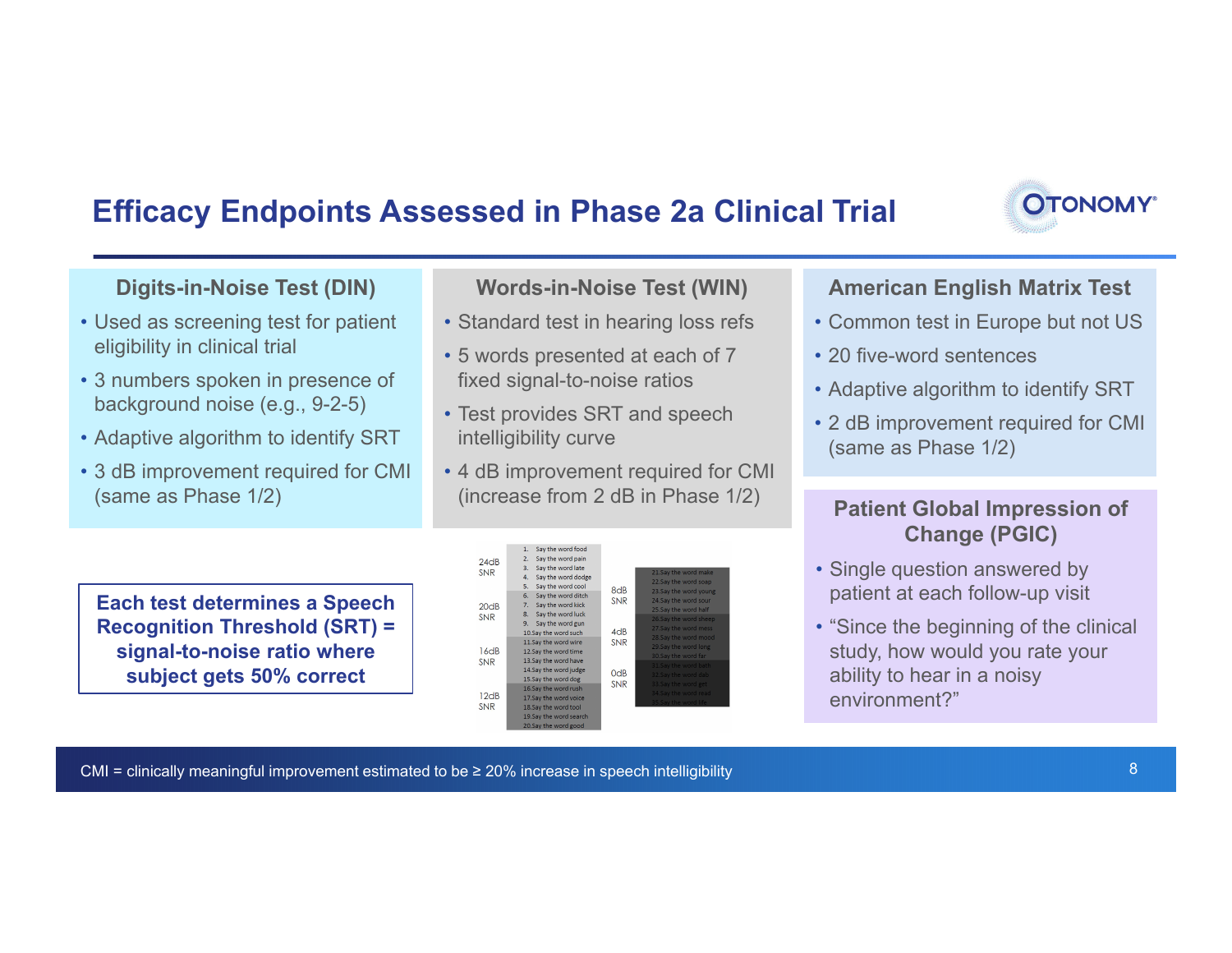### **Efficacy Endpoints Assessed in Phase 2a Clinical Trial**



#### **Digits-in-Noise Test (DIN)**

- Used as screening test for patient eligibility in clinical trial
- 3 numbers spoken in presence of background noise (e.g., 9-2-5)
- Adaptive algorithm to identify SRT
- 3 dB improvement required for CMI (same as Phase 1/2)

**Words-in-Noise Test (WIN)**

- Standard test in hearing loss refs
- 5 words presented at each of 7 fixed signal-to-noise ratios
- Test provides SRT and speech intelligibility curve
- 4 dB improvement required for CMI (increase from 2 dB in Phase 1/2)

**Each test determines a Speech Recognition Threshold (SRT) = signal-to-noise ratio where subject gets 50% correct**

|                    | т.<br>Say the word food  |                  |                       |
|--------------------|--------------------------|------------------|-----------------------|
| 24dB<br><b>SNR</b> | Say the word pain<br>2.  |                  |                       |
|                    | Say the word late<br>3.  |                  | 21.Say the word make  |
|                    | 4.<br>Say the word dodge |                  |                       |
|                    | 5.<br>Say the word cool  |                  | 22.Say the word soap  |
| 20dB<br><b>SNR</b> | 6.<br>Say the word ditch | 8dB              | 23.Say the word young |
|                    | Say the word kick<br>7.  | <b>SNR</b>       | 24.Say the word sour  |
|                    |                          |                  | 25.Say the word half  |
|                    | Say the word luck<br>8.  |                  | 26.Say the word sheep |
|                    | 9.<br>Say the word gun   |                  | 27.Say the word mess  |
|                    | 10.Say the word such     | 4 <sub>dB</sub>  | 28.Say the word mood  |
|                    | 11.Say the word wire     | <b>SNR</b>       | 29.Say the word long  |
| 16dB               | 12.Say the word time     |                  |                       |
| <b>SNR</b>         | 13. Say the word have    |                  | 30.Say the word far   |
|                    | 14.Say the word judge    |                  | 31.Say the word bath  |
|                    | 15.Say the word dog      | 0 <sub>d</sub> B | 32.Say the word dab   |
| 12dB               |                          | <b>SNR</b>       | 33.Say the word get   |
|                    | 16.Say the word rush     |                  | 34.Say the word read  |
|                    | 17.Say the word voice    |                  | 35.Say the word life  |
| <b>SNR</b>         | 18.Say the word tool     |                  |                       |
|                    | 19.Say the word search   |                  |                       |
|                    | 20.Say the word good     |                  |                       |

#### **American English Matrix Test**

- Common test in Europe but not US
- 20 five-word sentences
- Adaptive algorithm to identify SRT
- 2 dB improvement required for CMI (same as Phase 1/2)

#### **Patient Global Impression of Change (PGIC)**

- Single question answered by patient at each follow-up visit
- "Since the beginning of the clinical study, how would you rate your ability to hear in a noisy environment?"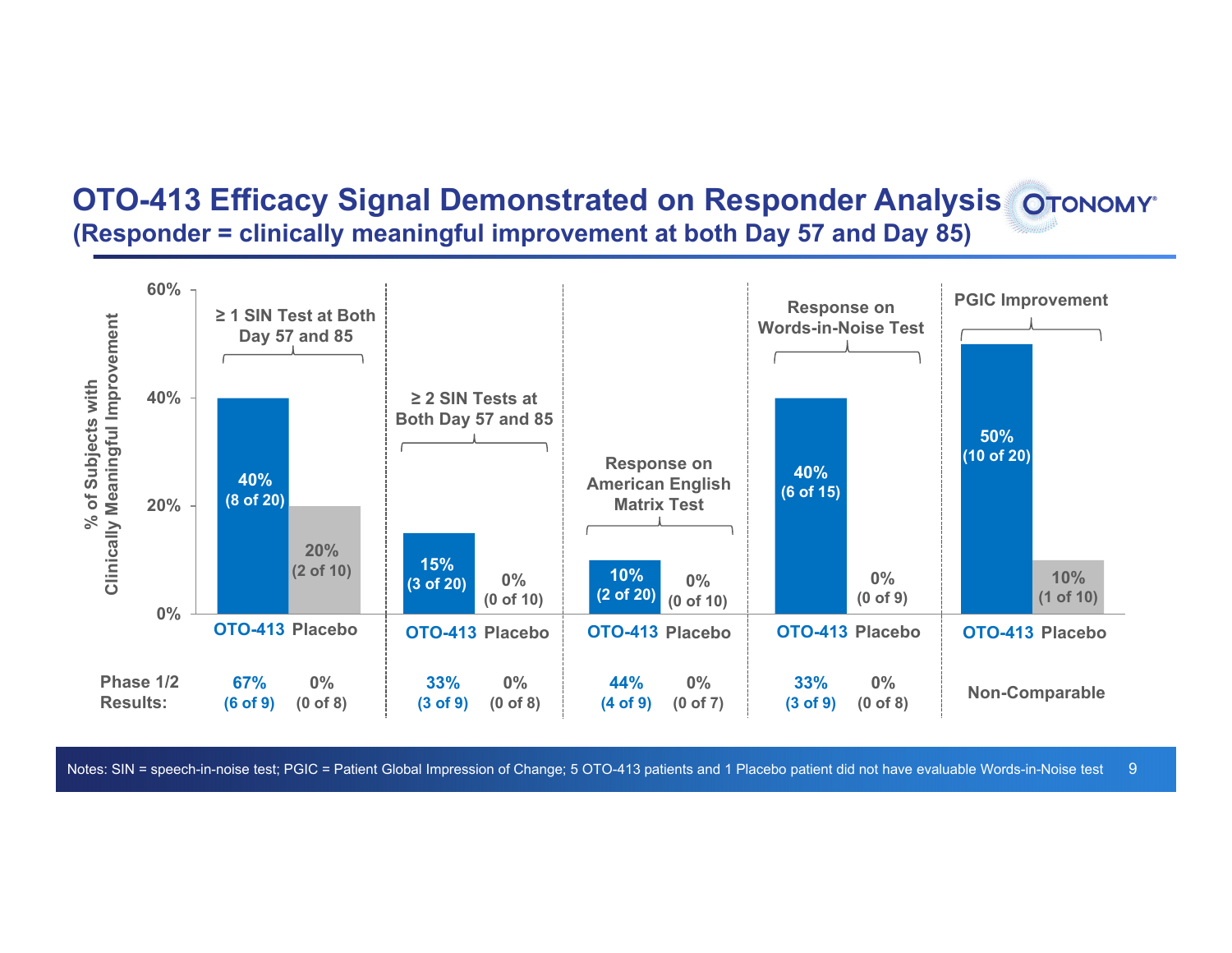### **OTO-413 Efficacy Signal Demonstrated on Responder Analysis (Responder = clinically meaningful improvement at both Day 57 and Day 85)**

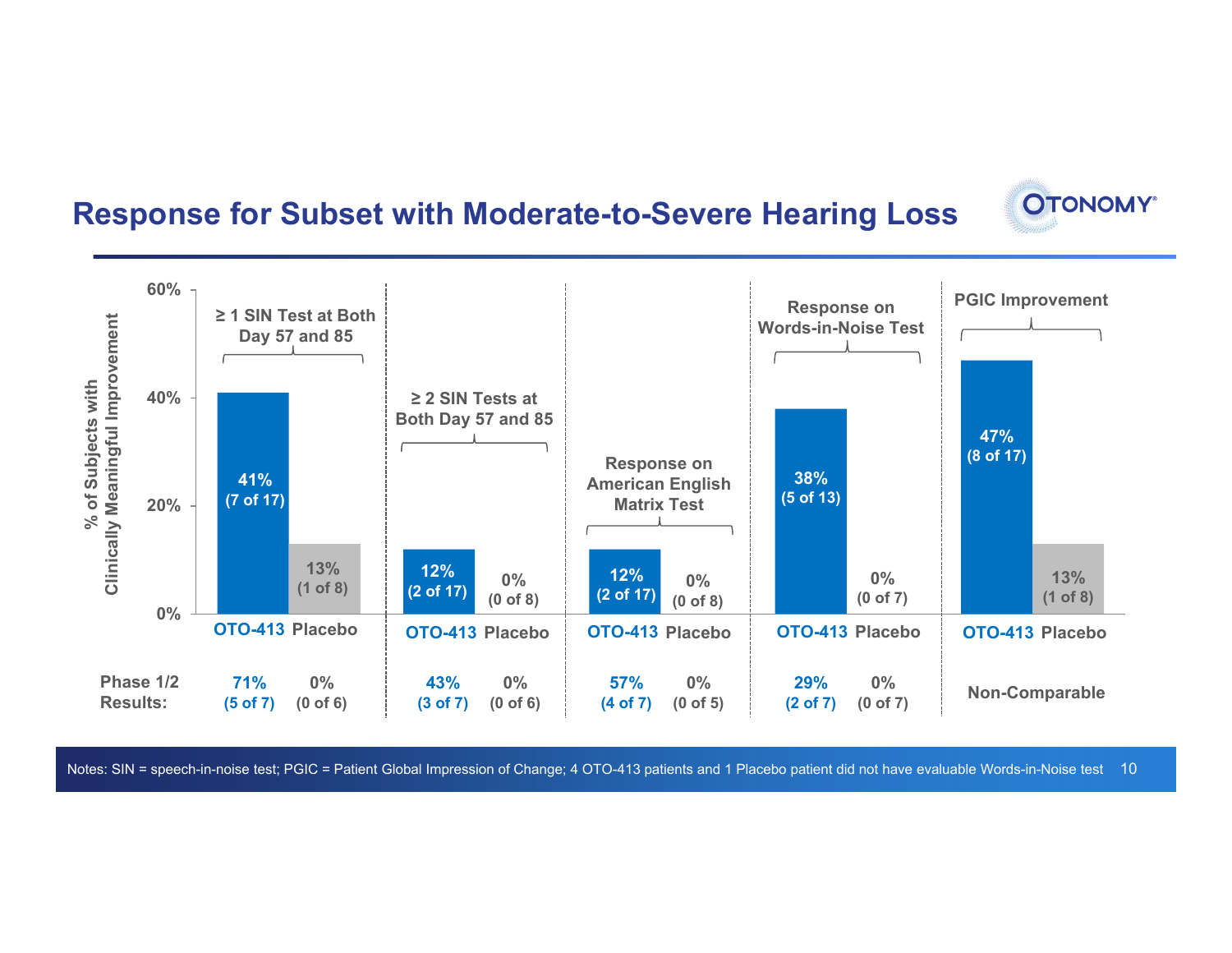### **Response for Subset with Moderate-to-Severe Hearing Loss**



**OTONOMY**\*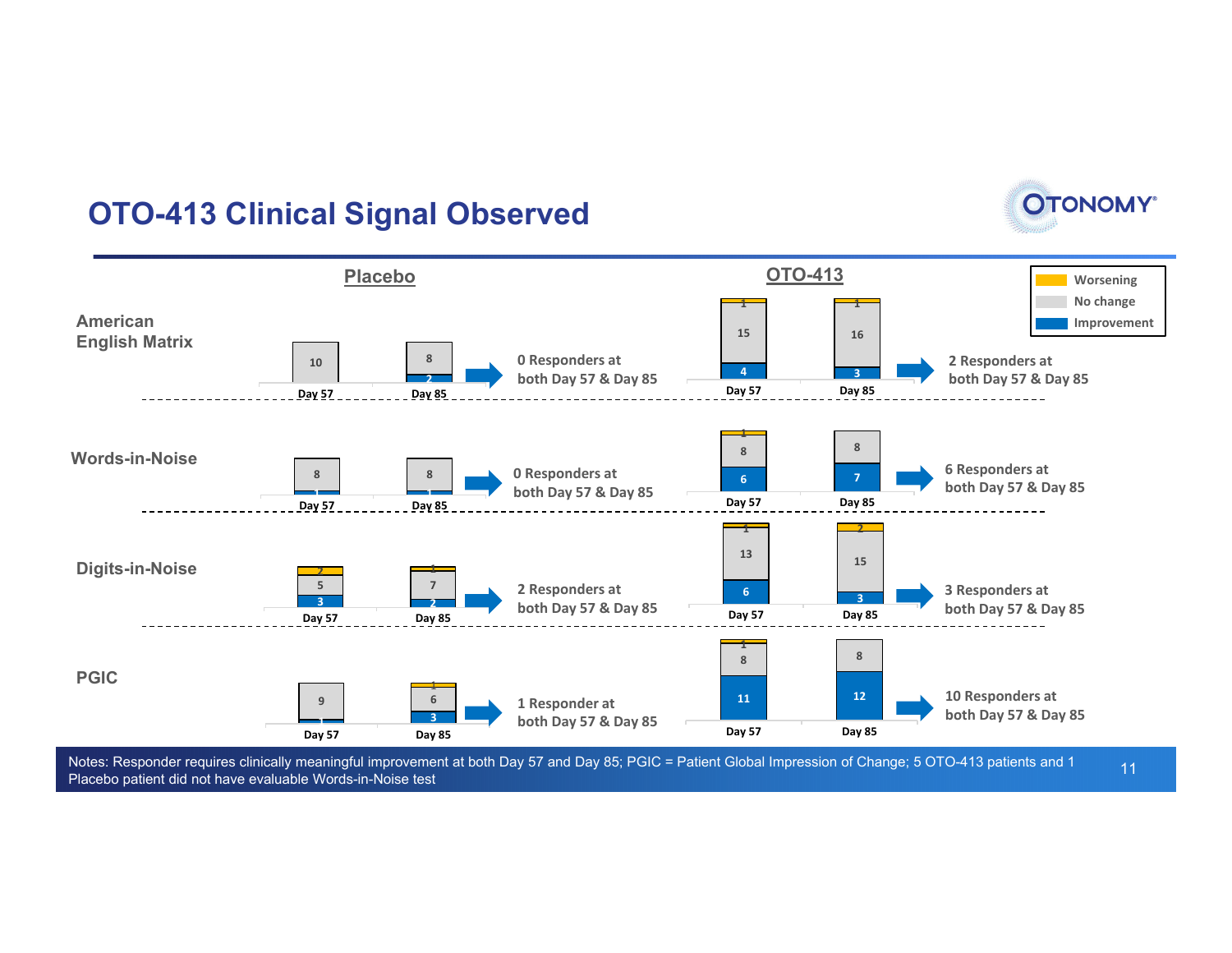### **OTO-413 Clinical Signal Observed**





Notes: Responder requires clinically meaningful improvement at both Day 57 and Day 85; PGIC = Patient Global Impression of Change; 5 OTO-413 patients and 1 Placebo patient did not have evaluable Words-in-Noise test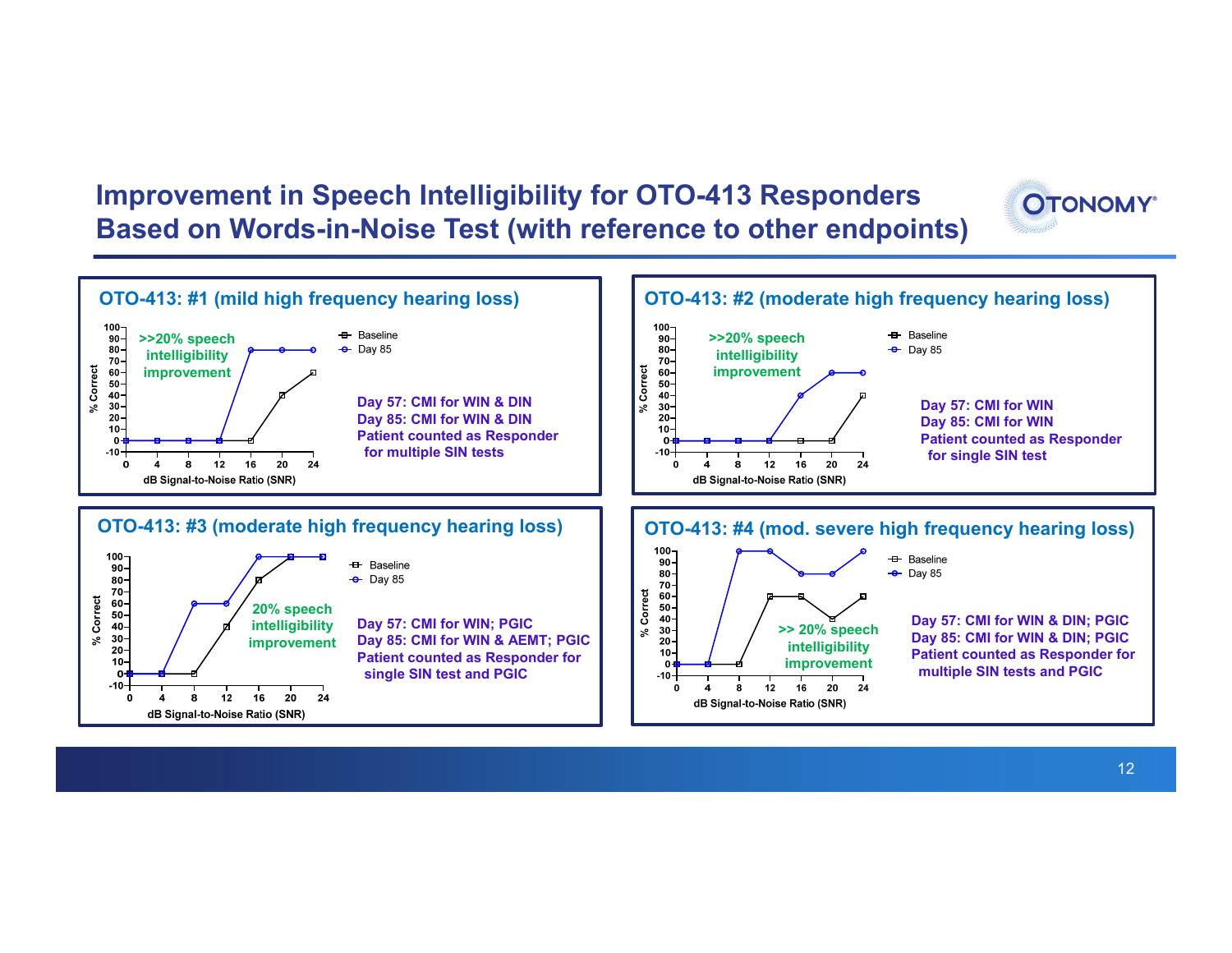### **Improvement in Speech Intelligibility for OTO-413 Responders Based on Words-in-Noise Test (with reference to other endpoints)**



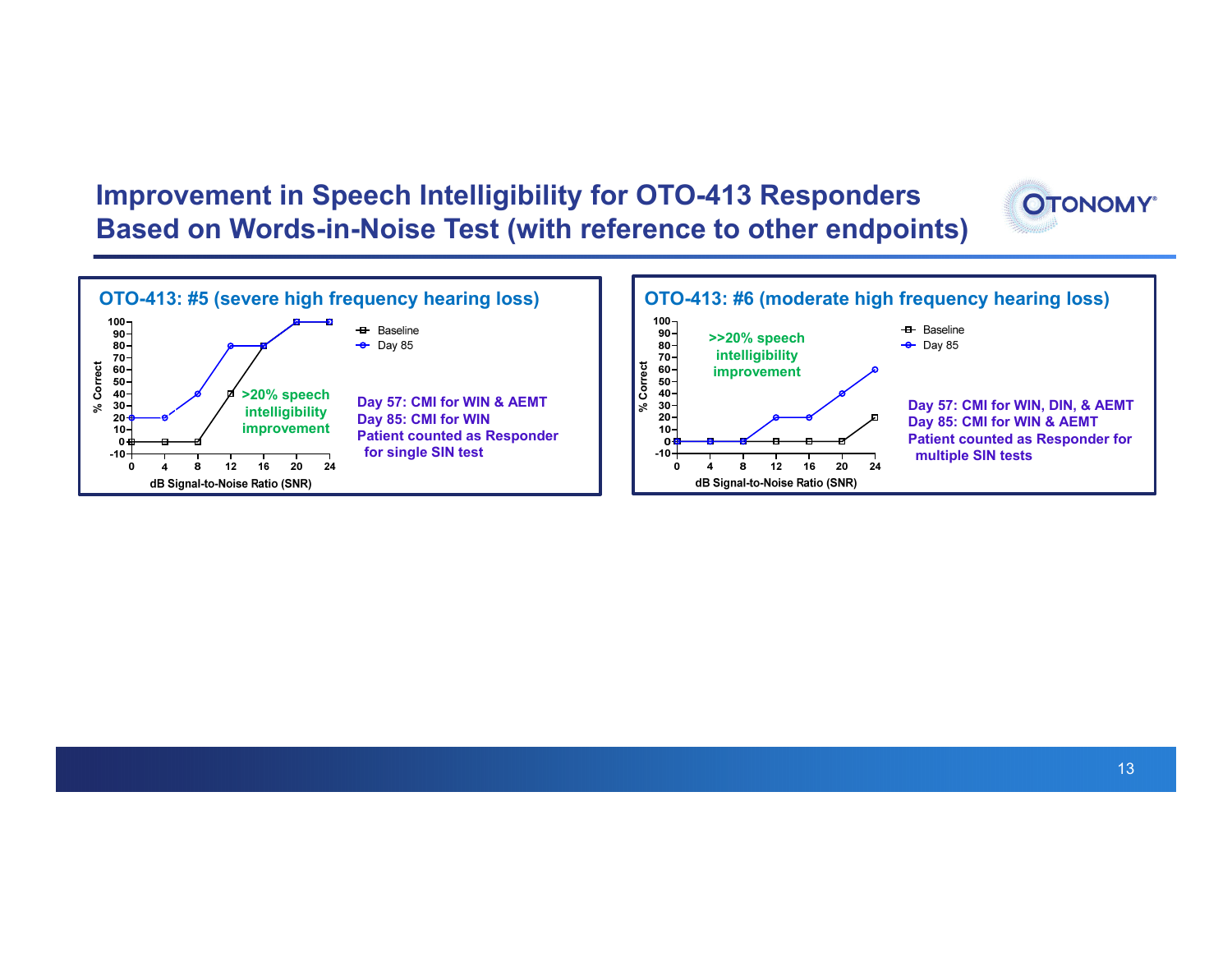### **Improvement in Speech Intelligibility for OTO-413 Responders Based on Words-in-Noise Test (with reference to other endpoints)**





**OTONOMY**\*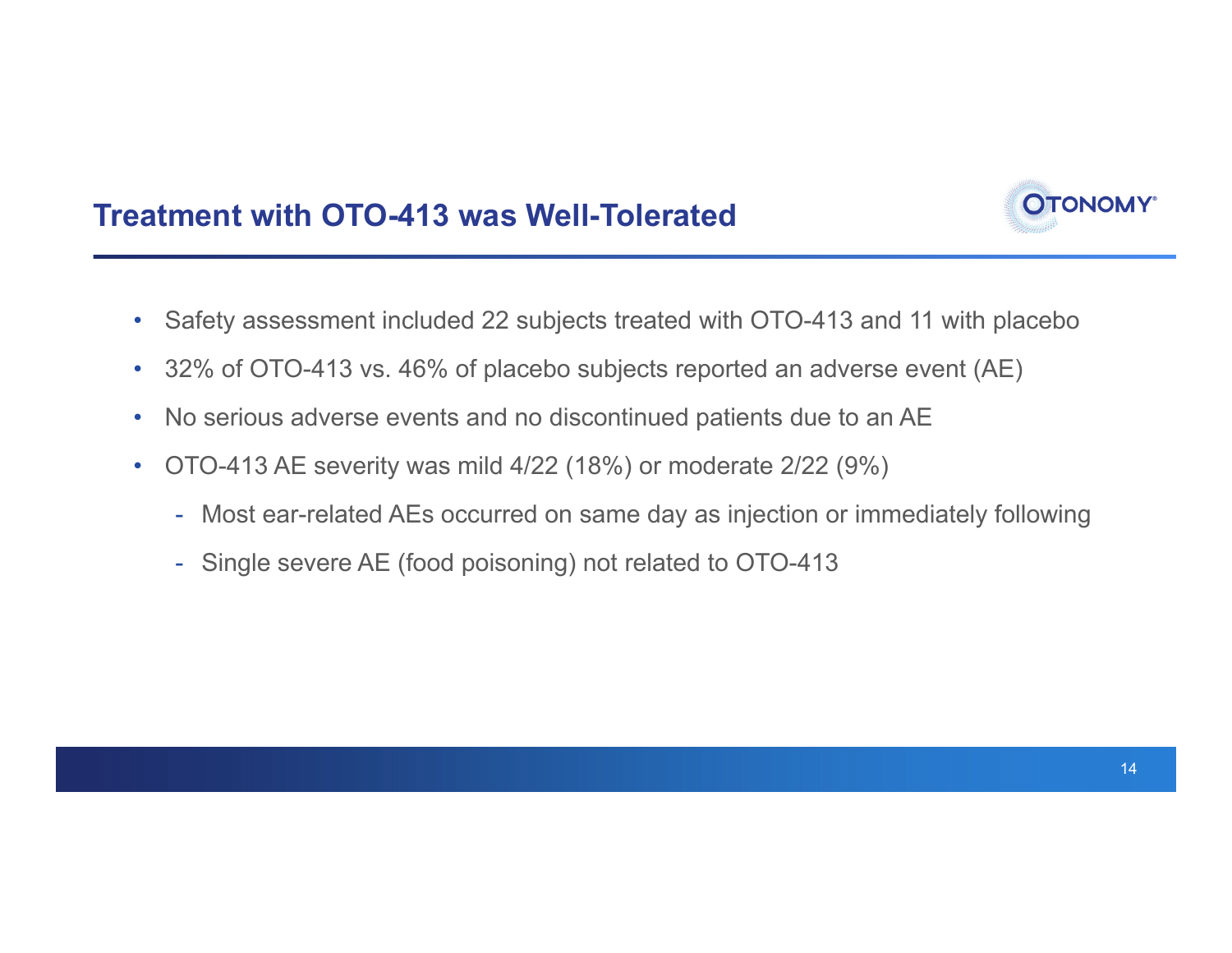

- Safety assessment included 22 subjects treated with OTO-413 and 11 with placebo
- •32% of OTO-413 vs. 46% of placebo subjects reported an adverse event (AE)
- $\bullet$ No serious adverse events and no discontinued patients due to an AE
- • OTO-413 AE severity was mild 4/22 (18%) or moderate 2/22 (9%)
	- Most ear-related AEs occurred on same day as injection or immediately following
	- Single severe AE (food poisoning) not related to OTO-413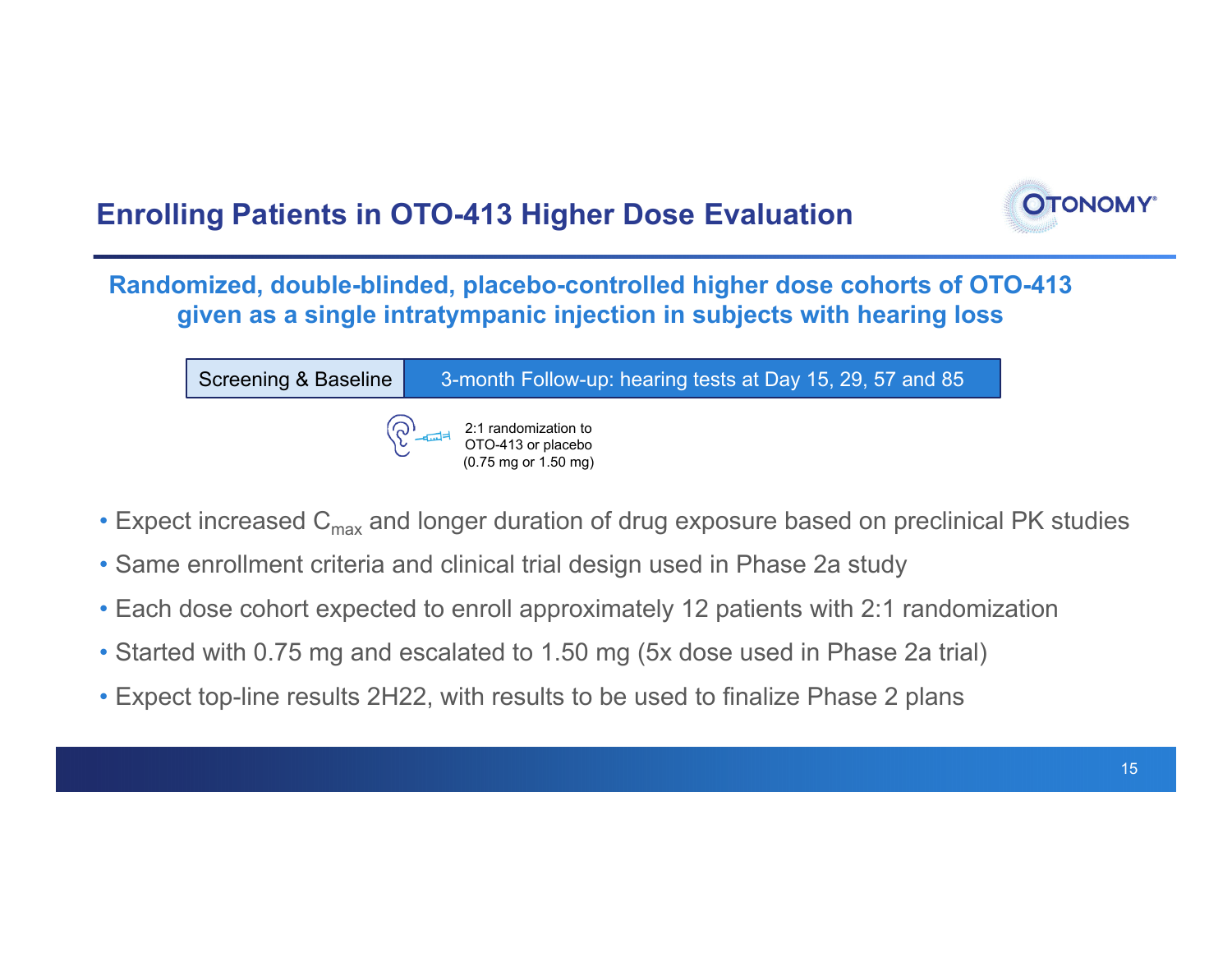

**Randomized, double-blinded, placebo-controlled higher dose cohorts of OTO-413 given as a single intratympanic injection in subjects with hearing loss**

| Screening & Baseline | 3-month Follow-up: hearing tests at Day 15, 29, 57 and 85                                                                                    |
|----------------------|----------------------------------------------------------------------------------------------------------------------------------------------|
|                      | $\left(\bigodot_{\substack{1 \text{ odd} \\ 0 \leq x \leq 1}} 2:1 \text{ random matrix.} \right)$<br>$(0.75 \text{ mg or } 1.50 \text{ mg})$ |

- $\bullet$  Expect increased  ${\sf C}_{\sf max}$  and longer duration of drug exposure based on preclinical PK studies
- Same enrollment criteria and clinical trial design used in Phase 2a study
- Each dose cohort expected to enroll approximately 12 patients with 2:1 randomization
- Started with 0.75 mg and escalated to 1.50 mg (5x dose used in Phase 2a trial)
- Expect top-line results 2H22, with results to be used to finalize Phase 2 plans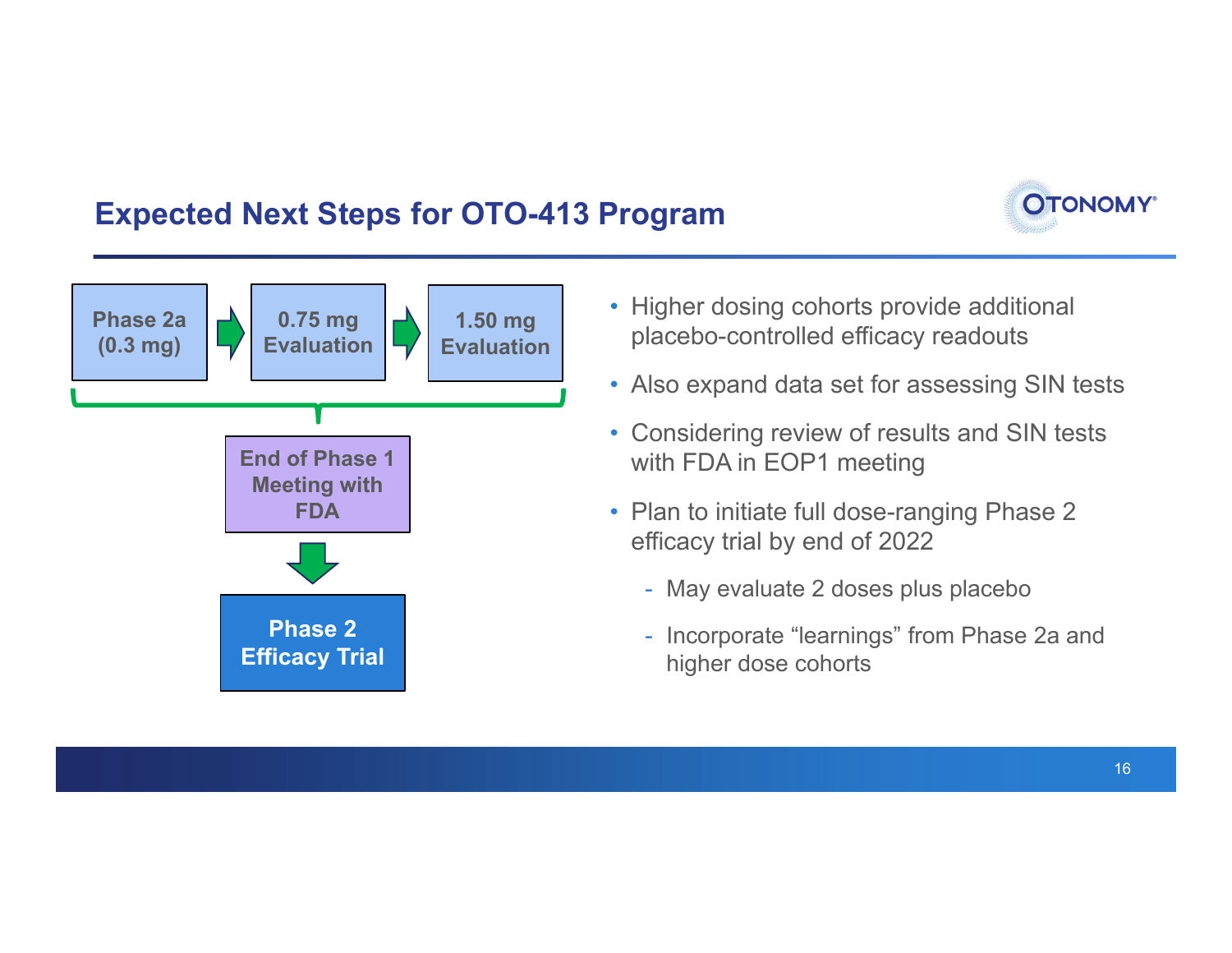### **Expected Next Steps for OTO-413 Program**





- Higher dosing cohorts provide additional placebo-controlled efficacy readouts
- Also expand data set for assessing SIN tests
- Considering review of results and SIN tests with FDA in EOP1 meeting
- Plan to initiate full dose-ranging Phase 2 efficacy trial by end of 2022
	- May evaluate 2 doses plus placebo
	- Incorporate "learnings" from Phase 2a and higher dose cohorts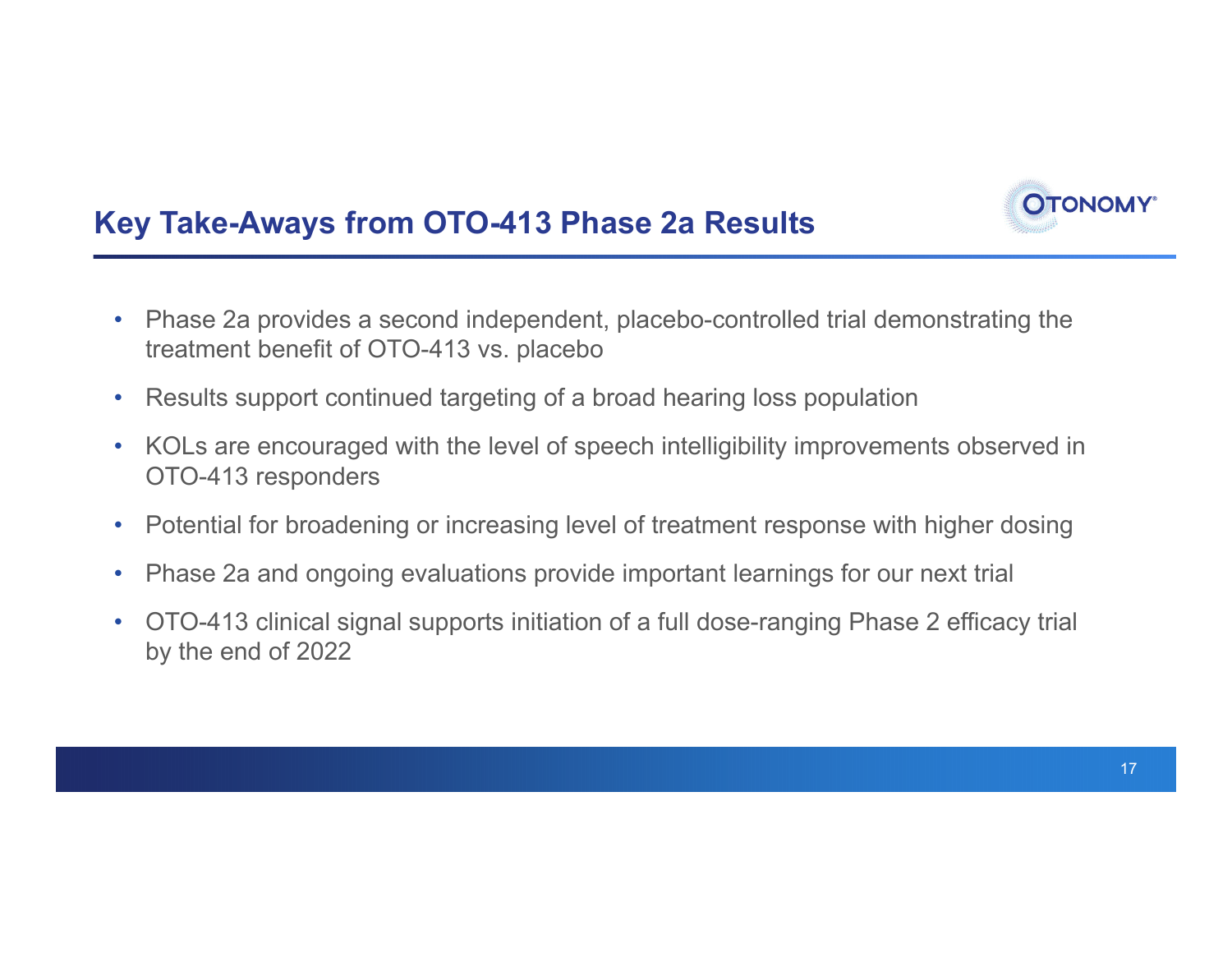

- $\bullet$  Phase 2a provides a second independent, placebo-controlled trial demonstrating the treatment benefit of OTO-413 vs. placebo
- $\bullet$ Results support continued targeting of a broad hearing loss population
- $\bullet$  KOLs are encouraged with the level of speech intelligibility improvements observed in OTO-413 responders
- $\bullet$ Potential for broadening or increasing level of treatment response with higher dosing
- $\bullet$ Phase 2a and ongoing evaluations provide important learnings for our next trial
- $\bullet$  OTO-413 clinical signal supports initiation of a full dose-ranging Phase 2 efficacy trial by the end of 2022